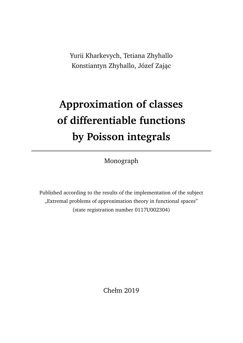Yurii Kharkevych, Tetiana Zhyhallo Konstiantyn Zhyhallo, Józef Zając

# **Approximation of classes of differentiable functions by Poisson integrals**

Monograph

Published according to the results of the implementation of the subject "Extremal problems of approximation theory in functional spaces" (state registration number 0117U002304)

Chełm 2019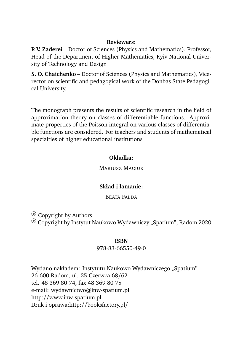#### **Reviewers:**

**P. V. Zaderei** – Doctor of Sciences (Physics and Mathematics), Professor, Head of the Department of Higher Mathematics, Kyiv National University of Technology and Design

**S. O. Chaichenko** – Doctor of Sciences (Physics and Mathematics), Vicerector on scientific and pedagogical work of the Donbas State Pedagogical University.

The monograph presents the results of scientific research in the field of approximation theory on classes of differentiable functions. Approximate properties of the Poisson integral on various classes of differentiable functions are considered. For teachers and students of mathematical specialties of higher educational institutions

#### **Okładka:**

MARIUSZ MACIUK

#### **Skład i łamanie:**

BEATA FAŁDA

 $\odot$  Copyright by Authors

 $\odot$  Copyright by Instytut Naukowo-Wydawniczy "Spatium", Radom 2020

#### **ISBN**

#### 978-83-66550-49-0

Wydano nakładem: Instytutu Naukowo-Wydawniczego "Spatium" 26-600 Radom, ul. 25 Czerwca 68/62 tel. 48 369 80 74, fax 48 369 80 75 e-mail: wydawnictwo@inw-spatium.pl http://www.inw-spatium.pl Druk i oprawa:http://booksfactory.pl/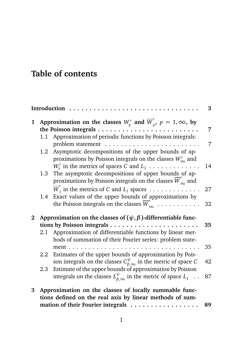## **Table of contents**

|   |     | Introduction                                                                                                                                                                          | 3  |
|---|-----|---------------------------------------------------------------------------------------------------------------------------------------------------------------------------------------|----|
| 1 |     | Approximation on the classes $W_p^r$ and $\overline{W}_p^r$ , $p = 1, \infty$ , by<br>the Poisson integrals $\dots \dots \dots \dots \dots \dots$                                     | 7  |
|   | 1.1 | Approximation of periodic functions by Poisson integrals:<br>problem statement                                                                                                        | 7  |
|   | 1.2 | Asymptotic decompositions of the upper bounds of ap-<br>proximations by Poisson integrals on the classes $W_{\infty}^{r}$ and                                                         |    |
|   | 1.3 | $W_1^r$ in the metrics of spaces C and $L_1$<br>The asymptotic decompositions of upper bounds of ap-<br>proximations by Poisson integrals on the classes $\overline{W}'_{\infty}$ and | 14 |
|   |     | $\overline{W}_1^r$ in the metrics of C and $L_1$ spaces                                                                                                                               | 27 |
|   | 1.4 | Exact values of the upper bounds of approximations by<br>the Poisson integrals on the classes $\overline{W}_{\infty}^r$                                                               | 32 |
| 2 |     | Approximation on the classes of $(\psi, \beta)$ -differentiable func-<br>tions by Poisson integrals $\dots \dots \dots \dots \dots \dots \dots$                                       | 35 |
|   |     | 2.1 Approximation of differentiable functions by linear met-<br>hods of summation of their Fourier series: problem state-                                                             |    |
|   |     | ment<br>$\mathbf{1}$ $\mathbf{1}$ $\mathbf{1}$ $\mathbf{1}$ $\mathbf{1}$<br>2.2 Estimates of the upper bounds of approximation by Pois-                                               | 35 |
|   |     | son integrals on the classes $C_{\beta,\infty}^{\psi}$ in the metric of space C                                                                                                       | 42 |
|   | 2.3 | Estimate of the upper bounds of approximation by Poisson<br>integrals on the classes $L_{\beta,\infty}^{\psi}$ in the metric of space $L_1 \dots$                                     | 87 |
| 3 |     | Approximation on the classes of locally summable func-<br>tions defined on the real axis by linear methods of sum-                                                                    |    |
|   |     | mation of their Fourier integrals                                                                                                                                                     | 89 |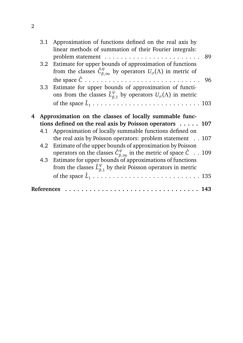|     | 3.1 Approximation of functions defined on the real axis by                                                                                                  |  |
|-----|-------------------------------------------------------------------------------------------------------------------------------------------------------------|--|
|     | linear methods of summation of their Fourier integrals:                                                                                                     |  |
|     | 89                                                                                                                                                          |  |
| 3.2 | Estimate for upper bounds of approximation of functions<br>from the classes $\hat{C}_{\beta,\infty}^{\psi}$ by operators $U_{\sigma}(\Lambda)$ in metric of |  |
|     |                                                                                                                                                             |  |
|     | - 96                                                                                                                                                        |  |
|     | 3.3 Estimate for upper bounds of approximation of functi-                                                                                                   |  |
|     | ons from the classes $\hat{L}_{\beta,1}^{\psi}$ by operators $U_{\sigma}(\Lambda)$ in metric                                                                |  |
|     |                                                                                                                                                             |  |
|     |                                                                                                                                                             |  |
|     |                                                                                                                                                             |  |
|     | 4 Approximation on the classes of locally summable func-                                                                                                    |  |
|     | tions defined on the real axis by Poisson operators $\dots$ . 107                                                                                           |  |
|     | 4.1 Approximation of locally summable functions defined on                                                                                                  |  |
|     | the real axis by Poisson operators: problem statement 107                                                                                                   |  |
|     | 4.2 Estimate of the upper bounds of approximation by Poisson                                                                                                |  |
|     |                                                                                                                                                             |  |
|     | operators on the classes $\hat{C}^{\psi}_{\beta \infty}$ in the metric of space $\hat{C}$ . 109                                                             |  |
|     | 4.3 Estimate for upper bounds of approximations of functions                                                                                                |  |
|     | from the classes $\hat{L}_{\beta,1}^{\psi}$ by their Poisson operators in metric                                                                            |  |
|     |                                                                                                                                                             |  |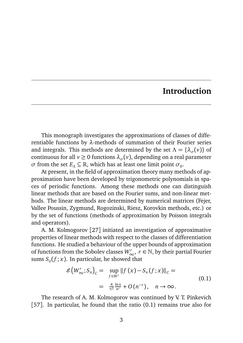### **Introduction**

This monograph investigates the approximations of classes of differentiable functions by *λ*-methods of summation of their Fourier series and integrals. This methods are determined by the set  $\Lambda = {\lambda_{\sigma}(v)}$  of continuous for all  $v \ge 0$  functions  $\lambda_{\sigma}(v)$ , depending on a real parameter *σ* from the set  $E_A \subseteq \mathbb{R}$ , which has at least one limit point  $\sigma_0$ .

At present, in the field of approximation theory many methods of approximation have been developed by trigonometric polynomials in spaces of periodic functions. Among these methods one can distinguish linear methods that are based on the Fourier sums, and non-linear methods. The linear methods are determined by numerical matrices (Fejer, Vallee Poussin, Zygmund, Rogozinski, Riesz, Korovkin methods, etc.) or by the set of functions (methods of approximation by Poisson integrals and operators).

A. M. Kolmogorov [27] initiated an investigation of approximative properties of linear methods with respect to the classes of differentiation functions. He studied a behaviour of the upper bounds of approximation of functions from the Sobolev classes  $W^r_{\infty}$ ,  $r \in \mathbb{N}$ , by their partial Fourier sums  $S_n(f; x)$ . In particular, he showed that

$$
\mathcal{E}\left(W_{\infty}^r; S_n\right)_C = \sup_{f \in W^r} \left\|f\left(x\right) - S_n\left(f; x\right)\right\|_C =
$$
\n
$$
= \frac{4}{\pi^2} \frac{\ln n}{n^r} + O\left(n^{-r}\right), \quad n \to \infty.
$$
\n(0.1)

The research of A. M. Kolmogorov was continued by V. T. Pinkevich [57]. In particular, he found that the ratio (0.1) remains true also for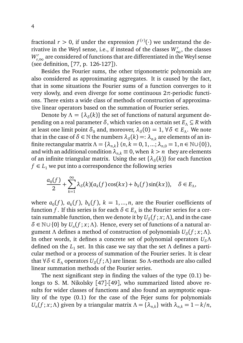fractional  $r > 0$ , if under the expression  $f^{(r)}(\cdot)$  we understand the derivative in the Weyl sense, i.e., if instead of the classes  $W^r_\infty$ , the classes  $W_{r,\infty}^r$  are considered of functions that are differentiated in the Weyl sense (see definition, [77, p. 126-127]).

Besides the Fourier sums, the other trigonometric polynomials are also considered as approximating aggregates. It is caused by the fact, that in some situations the Fourier sums of a function converges to it very slowly, and even diverge for some continuous 2*π*-periodic functions. There exists a wide class of methods of construction of approximative linear operators based on the summation of Fourier series.

Denote by  $\Lambda = {\lambda_{\delta}(k)}$  the set of functions of natural argument depending on a real parameter  $\delta$ , which varies on a certain set  $E_\Lambda \subseteq R$  with at least one limit point  $\delta_0$  and, moreover,  $\lambda_{\delta}(0) = 1$ ,  $\forall \delta \in E_{\Lambda}$ . We note that in the case of  $\delta \in \mathbb{N}$  the numbers  $\lambda_{\delta}(k) =: \lambda_{n,k}$  are elements of an infinite rectangular matrix  $\Lambda = \{\lambda_{n,k}\}\ (n, k = 0, 1, ..., \lambda_{n,0} = 1, n \in \mathbb{N} \cup \{0\}),$ and with an additional condition  $\lambda_{nk} \equiv 0$ , when  $k > n$  they are elements of an infinite triangular matrix. Using the set  $\{\lambda_{\delta}(k)\}$  for each function  $f \in L_1$  we put into a correspondence the following series

$$
\frac{a_0(f)}{2} + \sum_{k=1}^{\infty} \lambda_{\delta}(k) (a_k(f) \cos(kx) + b_k(f) \sin(kx)), \quad \delta \in E_{\Lambda},
$$

where  $a_0(f)$ ,  $a_k(f)$ ,  $b_k(f)$ ,  $k = 1, ..., n$ , are the Fourier coefficients of function *f*. If this series is for each  $\delta \in E_\Lambda$  is the Fourier series for a certain summable function, then we denote it by  $U_\delta(f\,;x;\Lambda)$ , and in the case  $\delta \in \mathbb{N} \cup \{0\}$  by  $U_n(f; x; \Lambda)$ . Hence, every set of functions of a natural argument *Λ* defines a method of construction of polynomials *U<sup>δ</sup>* (*f* ; *x*;*Λ*). In other words, it defines a concrete set of polynomial operators *UδΛ* defined on the *L*<sup>1</sup> set. In this case we say that the set *Λ* defines a particular method or a process of summation of the Fourier series. It is clear that ∀*δ* ∈ *E<sup>Λ</sup>* operators *U<sup>δ</sup>* (*f* ;*Λ*) are linear. So *Λ*-methods are also called linear summation methods of the Fourier series.

The next significant step in finding the values of the type (0.1) belongs to S. M. Nikolsky [47]-[49], who summarized listed above results for wider classes of functions and also found an asymptotic equality of the type (0.1) for the case of the Fejer sums for polynomials *U*<sub>*n*</sub>(*f* ; *x*; *Λ*) given by a triangular matrix  $Λ = {λ_{n,k}}$  with  $λ_{n,k} = 1 - k/n$ ,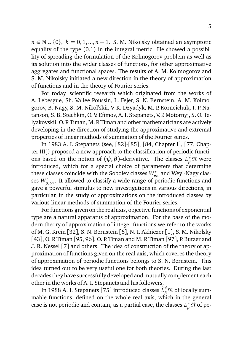*n* ∈ N ∪ {0}, *k* = 0, 1, ..., *n* − 1. S. M. Nikolsky obtained an asymptotic equality of the type (0.1) in the integral metric. He showed a possibility of spreading the formulation of the Kolmogorov problem as well as its solution into the wider classes of functions, for other approximative aggregates and functional spaces. The results of A. M. Kolmogorov and S. M. Nikolsky initiated a new direction in the theory of approximation of functions and in the theory of Fourier series.

For today, scientific research which originated from the works of A. Lebesgue, Sh. Vallee Poussin, L. Fejer, S. N. Bernstein, A. M. Kolmogorov, B. Nagy, S. M. Nikol'skii, V. K. Dzyadyk, M. P. Korneichuk, I. P. Natanson, S. B. Stechkin, O. V. Efimov, A. I. Stepanets, V. P. Motornyj, S. O. Telyakovskii, O. P. Timan, M. P. Timan and other mathematicians are actively developing in the direction of studying the approximative and extremal properties of linear methods of summation of the Fourier series.

In 1983 A. I. Stepanets (see, [82]-[85], [84, Chapter I], [77, Chapter III]) proposed a new approach to the classification of periodic functions based on the notion of  $(\psi, \beta)$ –derivative. The classes  $L_{\beta}^{\psi} \mathfrak{N}$  were introduced, which for a special choice of parameters that determine these classes coincide with the Sobolev classes  $W^r_\infty$  and Weyl-Nagy classes  $W_{\beta,\infty}^r.$  It allowed to classify a wide range of periodic functions and gave a powerful stimulus to new investigations in various directions, in particular, in the study of approximations on the introduced classes by various linear methods of summation of the Fourier series.

For functions given on the real axis, objective functions of exponential type are a natural apparatus of approximation. For the base of the modern theory of approximation of integer functions we refer to the works of M. G. Krein [32], S. N. Bernstein [6], N. I. Akhiezer [1], S. M. Nikolsky [43], O. P. Timan [95, 96], O. P. Timan and M. P. Timan [97], P. Butzer and J. R. Nessel [7] and others. The idea of construction of the theory of approximation of functions given on the real axis, which coveres the theory of approximation of periodic functions belongs to S. N. Bernstein. This idea turned out to be very useful one for both theories. During the last decades they have successfully developed and mutually complement each other in the works of A. I. Stepanets and his followers.

In 1988 A. I. Stepanets [75] introduced classes  $\hat{L}^\psi_\beta\mathfrak{N}$  of locally summable functions, defined on the whole real axis, which in the general case is not periodic and contain, as a partial case, the classes  $L_{\beta}^{\psi}\mathfrak{N}$  of pe-